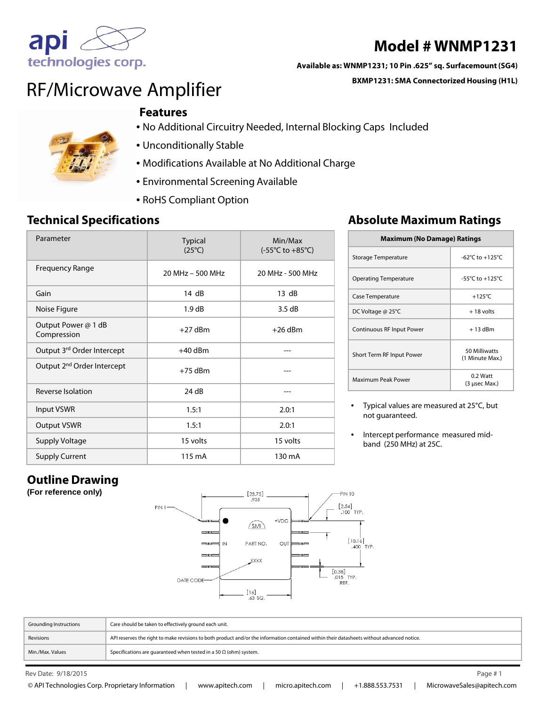

# **Model # WNMP1231**

#### **Available as: WNMP1231; 10 Pin .625" sq. Surfacemount (SG4)**

**BXMP1231: SMA Connectorized Housing (H1L)**

# RF/Microwave Amplifier

#### **Features**



- No Additional Circuitry Needed, Internal Blocking Caps Included
- Unconditionally Stable
- Modifications Available at No Additional Charge
- Environmental Screening Available
- RoHS Compliant Option

| Parameter                              | <b>Typical</b><br>$(25^{\circ}C)$ | Min/Max<br>$(-55^{\circ}C \text{ to } +85^{\circ}C)$ |
|----------------------------------------|-----------------------------------|------------------------------------------------------|
| <b>Frequency Range</b>                 | 20 MHz - 500 MHz                  | 20 MHz - 500 MHz                                     |
| Gain                                   | 14 dB                             | 13 dB                                                |
| Noise Figure                           | 1.9 dB                            | 3.5dB                                                |
| Output Power @ 1 dB<br>Compression     | $+27$ dBm                         | $+26$ dBm                                            |
| Output 3rd Order Intercept             | $+40$ dBm                         |                                                      |
| Output 2 <sup>nd</sup> Order Intercept | $+75$ dBm                         |                                                      |
| Reverse Isolation                      | 24 dB                             |                                                      |
| <b>Input VSWR</b>                      | 1.5:1                             | 2.0:1                                                |
| <b>Output VSWR</b>                     | 1.5:1                             | 2.0:1                                                |
| <b>Supply Voltage</b>                  | 15 volts                          | 15 volts                                             |
| <b>Supply Current</b>                  | 115 mA                            | 130 mA                                               |

## **Technical Specifications Absolute Maximum Ratings**

| <b>Maximum (No Damage) Ratings</b> |                                     |  |
|------------------------------------|-------------------------------------|--|
| Storage Temperature                | $-62^{\circ}$ C to $+125^{\circ}$ C |  |
| <b>Operating Temperature</b>       | $-55^{\circ}$ C to $+125^{\circ}$ C |  |
| Case Temperature                   | $+125^{\circ}$ C                    |  |
| DC Voltage @ 25°C                  | $+18$ volts                         |  |
| Continuous RF Input Power          | $+13$ dBm                           |  |
| Short Term RF Input Power          | 50 Milliwatts<br>(1 Minute Max.)    |  |
| Maximum Peak Power                 | $0.2$ Watt<br>(3 usec Max.)         |  |

• Typical values are measured at 25°C, but not guaranteed.

• Intercept performance measured midband (250 MHz) at 25C.

## **Outline Drawing**

**(For reference only)**



| <b>Grounding Instructions</b> | Care should be taken to effectively ground each unit.                                                                                      |
|-------------------------------|--------------------------------------------------------------------------------------------------------------------------------------------|
| Revisions                     | API reserves the right to make revisions to both product and/or the information contained within their datasheets without advanced notice. |
| Min./Max. Values              | Specifications are guaranteed when tested in a 50 $\Omega$ (ohm) system.                                                                   |

Rev Date: 9/18/2015 Page # 1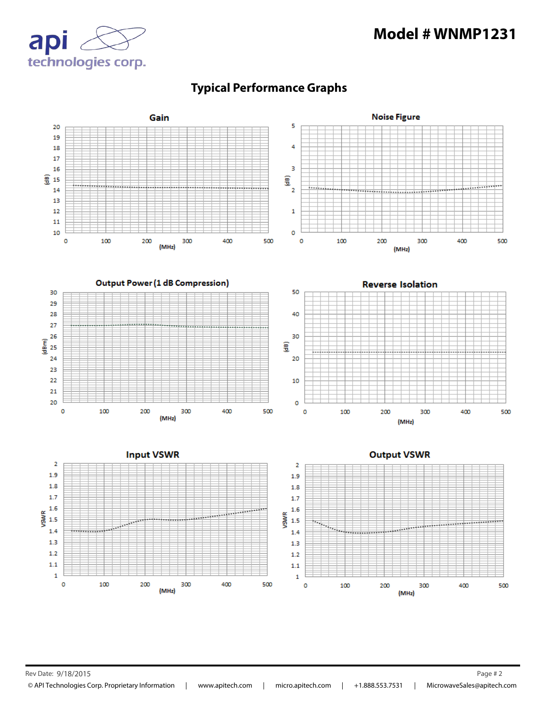## **Model # WNMP1231**





#### **Typical Performance Graphs**